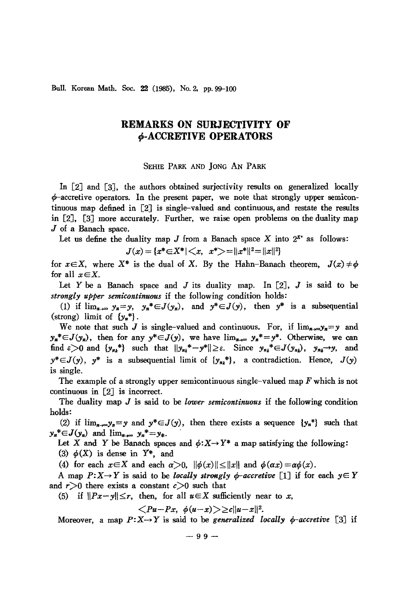Bull. Korean Math. Soc. 22 (1985), No. 2, pp. 99-100

## **REMARKS ON SURJECTIVITY OF 9-ACCRETIVE OPERATORS**

SEHIE PARK AND JONG AN PARK

In [2J and [3J, the authors obtained surjectivity results on generalized locally  $\phi$ -accretive operators. In the present paper, we note that strongly upper semicontinuous map defined in [2J is single-valued and continuous, and restate the results in [2J, [3J more accurately. Further, we raise open problems on the duality map J of a Banach space.

Let us define the duality map  $J$  from a Banach space  $X$  into  $2^{x*}$  as follows:

$$
J(x) = \{x^* \in X^* | \langle x, x^* \rangle = ||x^*||^2 = ||x||^2\}
$$

for  $x \in X$ , where  $X^*$  is the dual of X. By the Hahn-Banach theorem,  $J(x) \neq \phi$ for all  $x \in X$ .

Let Y be a Banach space and J its duality map. In  $[2]$ , J is said to be *strongly upper semicontinuous* if the following condition holds:

(1) if  $\lim_{n\to\infty} y_n = y$ ,  $y_n^* \in J(y_n)$ , and  $y^* \in J(y)$ , then  $y^*$  is a subsequential (strong) limit of  $\{y_n^*\}$ .

We note that such J is single-valued and continuous. For, if  $\lim_{n\to\infty} y_n = y$  and  $y_n^* \in J(y_n)$ , then for any  $y^* \in J(y)$ , we have  $\lim_{n \to \infty} y_n^* = y^*$ . Otherwise, we can find  $\varepsilon > 0$  and  $\{y_{n_k}^*\}$  such that  $||y_{n_k}^* - y^*|| \ge \varepsilon$ . Since  $y_{n_k}^* \in J(y_{n_k}), y_{n_k} \to y$ , and  $y^* \in J(y)$ ,  $y^*$  is a subsequential limit of  $\{y_{n_k}^*\}$ , a contradiction. Hence,  $J(y)$ is single.

The example of a strongly upper semicontinuous single-valued map F which is not continuous in [2J is incorrect.

The duality map *J* is said to be *lower semicontinuous* if the following condition holds:

(2) if  $\lim_{n\to\infty}y_n=y$  and  $y^*\in J(y)$ , then there exists a sequence  $\{y_n^*\}\$  such that  $y_n^* \in J(y_n)$  and  $\lim_{n \to \infty} y_n^* = y_*$ .

Let X and Y be Banach spaces and  $\phi: X \rightarrow Y^*$  a map satisfying the following:

(3)  $\phi$ (X) is dense in  $Y^*$ , and

(4) for each  $x \in X$  and each  $\alpha > 0$ ,  $\|\phi(x)\| \leq \|x\|$  and  $\phi(\alpha x) = \alpha \phi(x)$ .

A map  $P: X \to Y$  is said to be *locally strongly*  $\phi$ *-accretive* [1] if for each  $y \in Y$ and  $r > 0$  there exists a constant  $c > 0$  such that

(5) if  $||Px-y|| \leq r$ , then, for all  $u \in X$  sufficiently near to *x*,

$$
\langle Pu-Px, \phi(u-x)\rangle \geq c||u-x||^2.
$$

Moreover, a map  $P: X \rightarrow Y$  is said to be *generalized locally*  $\phi$ -accretive [3] if

 $-99-$